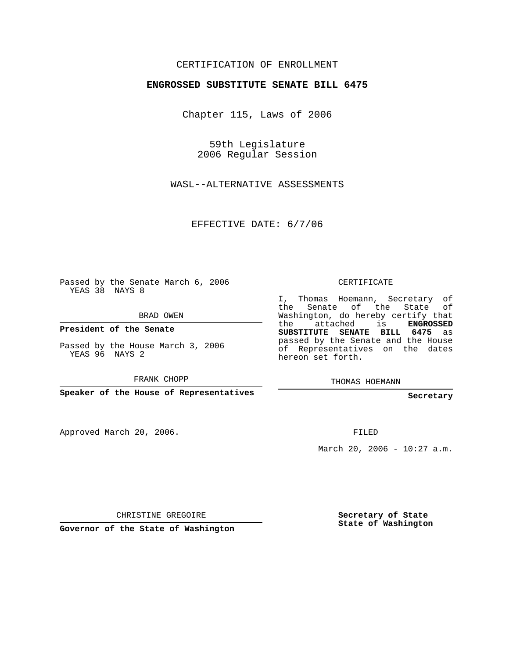## CERTIFICATION OF ENROLLMENT

#### **ENGROSSED SUBSTITUTE SENATE BILL 6475**

Chapter 115, Laws of 2006

59th Legislature 2006 Regular Session

WASL--ALTERNATIVE ASSESSMENTS

EFFECTIVE DATE: 6/7/06

Passed by the Senate March 6, 2006 YEAS 38 NAYS 8

BRAD OWEN

**President of the Senate**

Passed by the House March 3, 2006 YEAS 96 NAYS 2

FRANK CHOPP

**Speaker of the House of Representatives**

Approved March 20, 2006.

CERTIFICATE

I, Thomas Hoemann, Secretary of the Senate of the State of Washington, do hereby certify that the attached is **ENGROSSED SUBSTITUTE SENATE BILL 6475** as passed by the Senate and the House of Representatives on the dates hereon set forth.

THOMAS HOEMANN

**Secretary**

FILED

March 20, 2006 - 10:27 a.m.

CHRISTINE GREGOIRE

**Governor of the State of Washington**

**Secretary of State State of Washington**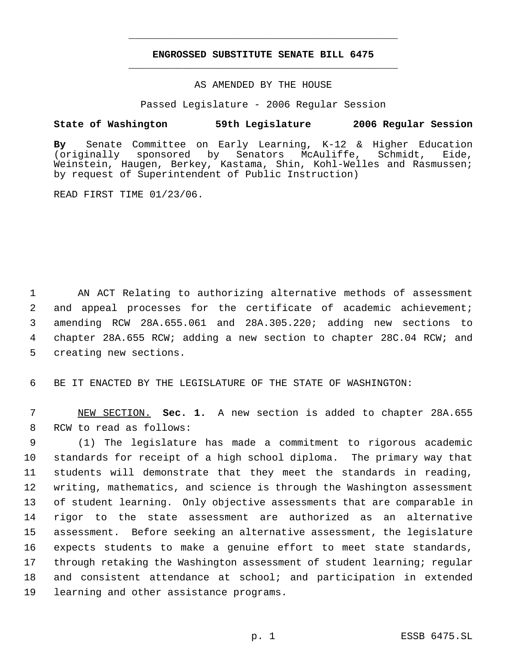# **ENGROSSED SUBSTITUTE SENATE BILL 6475** \_\_\_\_\_\_\_\_\_\_\_\_\_\_\_\_\_\_\_\_\_\_\_\_\_\_\_\_\_\_\_\_\_\_\_\_\_\_\_\_\_\_\_\_\_

\_\_\_\_\_\_\_\_\_\_\_\_\_\_\_\_\_\_\_\_\_\_\_\_\_\_\_\_\_\_\_\_\_\_\_\_\_\_\_\_\_\_\_\_\_

### AS AMENDED BY THE HOUSE

Passed Legislature - 2006 Regular Session

### **State of Washington 59th Legislature 2006 Regular Session**

**By** Senate Committee on Early Learning, K-12 & Higher Education Senators McAuliffe, Schmidt, Eide, Weinstein, Haugen, Berkey, Kastama, Shin, Kohl-Welles and Rasmussen; by request of Superintendent of Public Instruction)

READ FIRST TIME 01/23/06.

 AN ACT Relating to authorizing alternative methods of assessment and appeal processes for the certificate of academic achievement; amending RCW 28A.655.061 and 28A.305.220; adding new sections to 4 chapter 28A.655 RCW; adding a new section to chapter 28C.04 RCW; and creating new sections.

6 BE IT ENACTED BY THE LEGISLATURE OF THE STATE OF WASHINGTON:

 7 NEW SECTION. **Sec. 1.** A new section is added to chapter 28A.655 8 RCW to read as follows:

 (1) The legislature has made a commitment to rigorous academic standards for receipt of a high school diploma. The primary way that students will demonstrate that they meet the standards in reading, writing, mathematics, and science is through the Washington assessment of student learning. Only objective assessments that are comparable in rigor to the state assessment are authorized as an alternative assessment. Before seeking an alternative assessment, the legislature 16 expects students to make a genuine effort to meet state standards, through retaking the Washington assessment of student learning; regular and consistent attendance at school; and participation in extended learning and other assistance programs.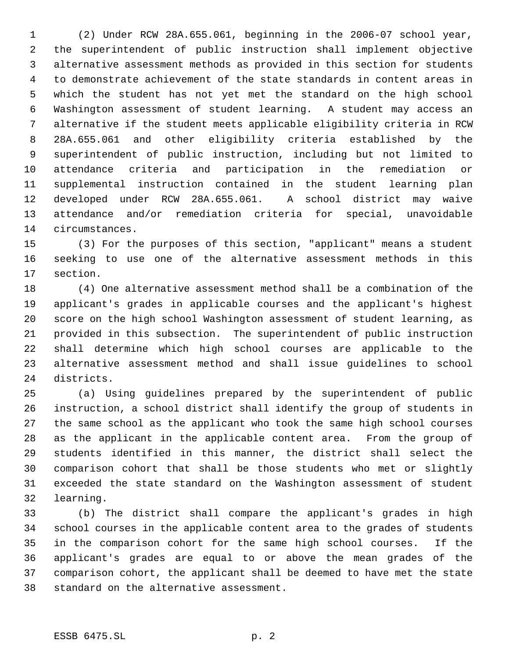(2) Under RCW 28A.655.061, beginning in the 2006-07 school year, the superintendent of public instruction shall implement objective alternative assessment methods as provided in this section for students to demonstrate achievement of the state standards in content areas in which the student has not yet met the standard on the high school Washington assessment of student learning. A student may access an alternative if the student meets applicable eligibility criteria in RCW 28A.655.061 and other eligibility criteria established by the superintendent of public instruction, including but not limited to attendance criteria and participation in the remediation or supplemental instruction contained in the student learning plan developed under RCW 28A.655.061. A school district may waive attendance and/or remediation criteria for special, unavoidable circumstances.

 (3) For the purposes of this section, "applicant" means a student seeking to use one of the alternative assessment methods in this section.

 (4) One alternative assessment method shall be a combination of the applicant's grades in applicable courses and the applicant's highest score on the high school Washington assessment of student learning, as provided in this subsection. The superintendent of public instruction shall determine which high school courses are applicable to the alternative assessment method and shall issue guidelines to school districts.

 (a) Using guidelines prepared by the superintendent of public instruction, a school district shall identify the group of students in the same school as the applicant who took the same high school courses as the applicant in the applicable content area. From the group of students identified in this manner, the district shall select the comparison cohort that shall be those students who met or slightly exceeded the state standard on the Washington assessment of student learning.

 (b) The district shall compare the applicant's grades in high school courses in the applicable content area to the grades of students in the comparison cohort for the same high school courses. If the applicant's grades are equal to or above the mean grades of the comparison cohort, the applicant shall be deemed to have met the state standard on the alternative assessment.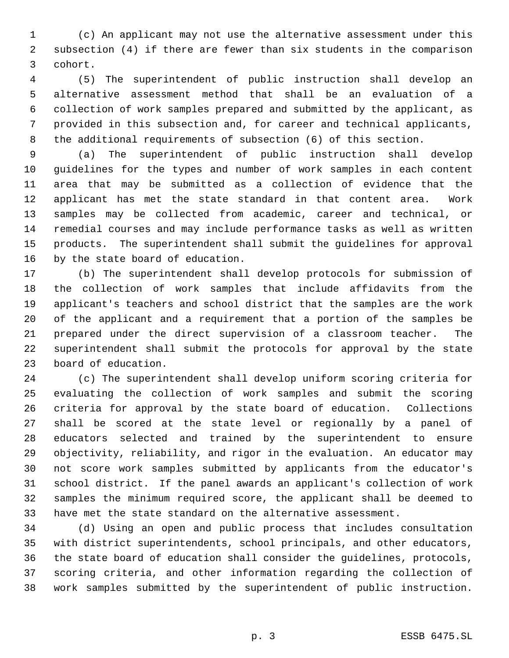(c) An applicant may not use the alternative assessment under this subsection (4) if there are fewer than six students in the comparison cohort.

 (5) The superintendent of public instruction shall develop an alternative assessment method that shall be an evaluation of a collection of work samples prepared and submitted by the applicant, as provided in this subsection and, for career and technical applicants, the additional requirements of subsection (6) of this section.

 (a) The superintendent of public instruction shall develop guidelines for the types and number of work samples in each content area that may be submitted as a collection of evidence that the applicant has met the state standard in that content area. Work samples may be collected from academic, career and technical, or remedial courses and may include performance tasks as well as written products. The superintendent shall submit the guidelines for approval by the state board of education.

 (b) The superintendent shall develop protocols for submission of the collection of work samples that include affidavits from the applicant's teachers and school district that the samples are the work of the applicant and a requirement that a portion of the samples be prepared under the direct supervision of a classroom teacher. The superintendent shall submit the protocols for approval by the state board of education.

 (c) The superintendent shall develop uniform scoring criteria for evaluating the collection of work samples and submit the scoring criteria for approval by the state board of education. Collections shall be scored at the state level or regionally by a panel of educators selected and trained by the superintendent to ensure objectivity, reliability, and rigor in the evaluation. An educator may not score work samples submitted by applicants from the educator's school district. If the panel awards an applicant's collection of work samples the minimum required score, the applicant shall be deemed to have met the state standard on the alternative assessment.

 (d) Using an open and public process that includes consultation with district superintendents, school principals, and other educators, the state board of education shall consider the guidelines, protocols, scoring criteria, and other information regarding the collection of work samples submitted by the superintendent of public instruction.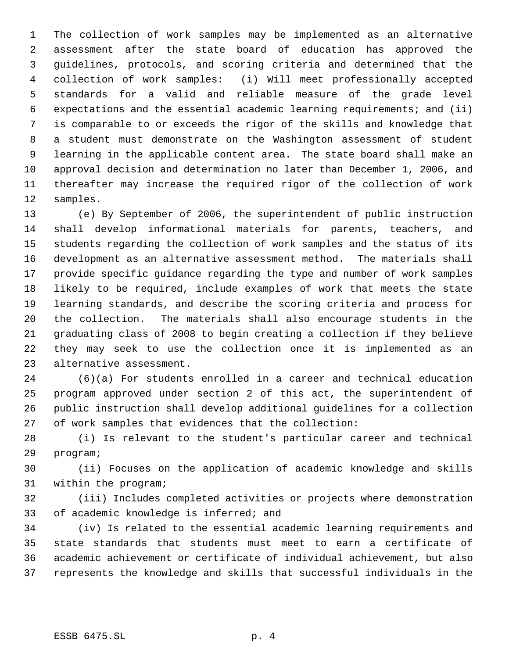The collection of work samples may be implemented as an alternative assessment after the state board of education has approved the guidelines, protocols, and scoring criteria and determined that the collection of work samples: (i) Will meet professionally accepted standards for a valid and reliable measure of the grade level expectations and the essential academic learning requirements; and (ii) is comparable to or exceeds the rigor of the skills and knowledge that a student must demonstrate on the Washington assessment of student learning in the applicable content area. The state board shall make an approval decision and determination no later than December 1, 2006, and thereafter may increase the required rigor of the collection of work samples.

 (e) By September of 2006, the superintendent of public instruction shall develop informational materials for parents, teachers, and students regarding the collection of work samples and the status of its development as an alternative assessment method. The materials shall provide specific guidance regarding the type and number of work samples likely to be required, include examples of work that meets the state learning standards, and describe the scoring criteria and process for the collection. The materials shall also encourage students in the graduating class of 2008 to begin creating a collection if they believe they may seek to use the collection once it is implemented as an alternative assessment.

 (6)(a) For students enrolled in a career and technical education program approved under section 2 of this act, the superintendent of public instruction shall develop additional guidelines for a collection of work samples that evidences that the collection:

 (i) Is relevant to the student's particular career and technical program;

 (ii) Focuses on the application of academic knowledge and skills within the program;

 (iii) Includes completed activities or projects where demonstration of academic knowledge is inferred; and

 (iv) Is related to the essential academic learning requirements and state standards that students must meet to earn a certificate of academic achievement or certificate of individual achievement, but also represents the knowledge and skills that successful individuals in the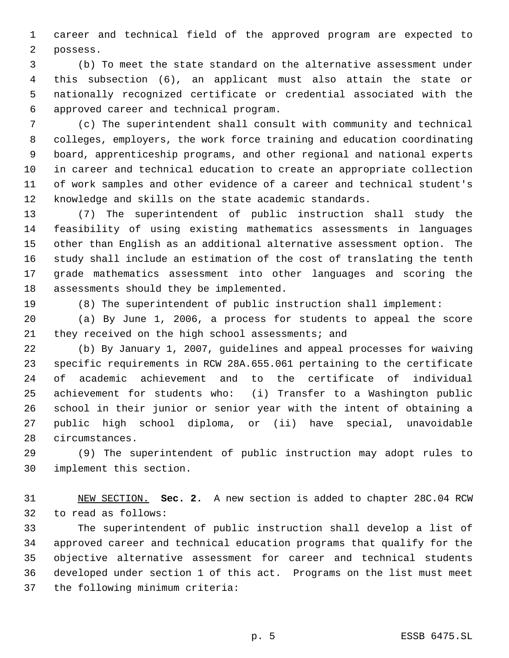career and technical field of the approved program are expected to possess.

 (b) To meet the state standard on the alternative assessment under this subsection (6), an applicant must also attain the state or nationally recognized certificate or credential associated with the approved career and technical program.

 (c) The superintendent shall consult with community and technical colleges, employers, the work force training and education coordinating board, apprenticeship programs, and other regional and national experts in career and technical education to create an appropriate collection of work samples and other evidence of a career and technical student's knowledge and skills on the state academic standards.

 (7) The superintendent of public instruction shall study the feasibility of using existing mathematics assessments in languages other than English as an additional alternative assessment option. The study shall include an estimation of the cost of translating the tenth grade mathematics assessment into other languages and scoring the assessments should they be implemented.

(8) The superintendent of public instruction shall implement:

 (a) By June 1, 2006, a process for students to appeal the score they received on the high school assessments; and

 (b) By January 1, 2007, guidelines and appeal processes for waiving specific requirements in RCW 28A.655.061 pertaining to the certificate of academic achievement and to the certificate of individual achievement for students who: (i) Transfer to a Washington public school in their junior or senior year with the intent of obtaining a public high school diploma, or (ii) have special, unavoidable circumstances.

 (9) The superintendent of public instruction may adopt rules to implement this section.

 NEW SECTION. **Sec. 2.** A new section is added to chapter 28C.04 RCW to read as follows:

 The superintendent of public instruction shall develop a list of approved career and technical education programs that qualify for the objective alternative assessment for career and technical students developed under section 1 of this act. Programs on the list must meet the following minimum criteria: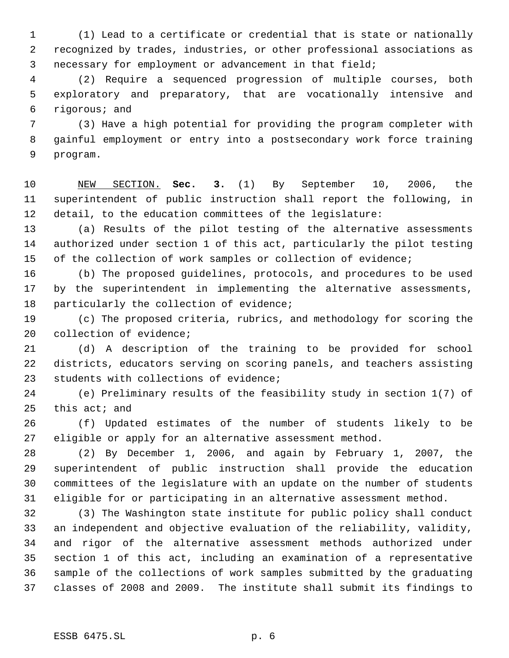(1) Lead to a certificate or credential that is state or nationally recognized by trades, industries, or other professional associations as necessary for employment or advancement in that field;

 (2) Require a sequenced progression of multiple courses, both exploratory and preparatory, that are vocationally intensive and rigorous; and

 (3) Have a high potential for providing the program completer with gainful employment or entry into a postsecondary work force training program.

 NEW SECTION. **Sec. 3.** (1) By September 10, 2006, the superintendent of public instruction shall report the following, in detail, to the education committees of the legislature:

 (a) Results of the pilot testing of the alternative assessments authorized under section 1 of this act, particularly the pilot testing of the collection of work samples or collection of evidence;

 (b) The proposed guidelines, protocols, and procedures to be used by the superintendent in implementing the alternative assessments, particularly the collection of evidence;

 (c) The proposed criteria, rubrics, and methodology for scoring the collection of evidence;

 (d) A description of the training to be provided for school districts, educators serving on scoring panels, and teachers assisting students with collections of evidence;

 (e) Preliminary results of the feasibility study in section 1(7) of this act; and

 (f) Updated estimates of the number of students likely to be eligible or apply for an alternative assessment method.

 (2) By December 1, 2006, and again by February 1, 2007, the superintendent of public instruction shall provide the education committees of the legislature with an update on the number of students eligible for or participating in an alternative assessment method.

 (3) The Washington state institute for public policy shall conduct an independent and objective evaluation of the reliability, validity, and rigor of the alternative assessment methods authorized under section 1 of this act, including an examination of a representative sample of the collections of work samples submitted by the graduating classes of 2008 and 2009. The institute shall submit its findings to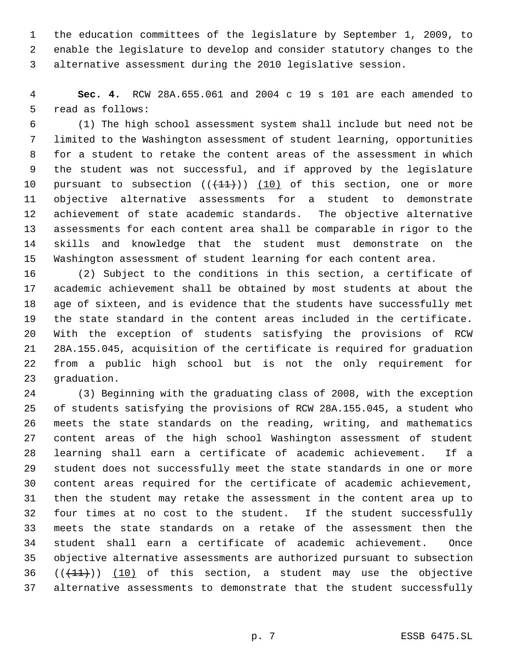the education committees of the legislature by September 1, 2009, to enable the legislature to develop and consider statutory changes to the alternative assessment during the 2010 legislative session.

 **Sec. 4.** RCW 28A.655.061 and 2004 c 19 s 101 are each amended to read as follows:

 (1) The high school assessment system shall include but need not be limited to the Washington assessment of student learning, opportunities for a student to retake the content areas of the assessment in which the student was not successful, and if approved by the legislature 10 pursuant to subsection  $((+11))$   $(10)$  of this section, one or more objective alternative assessments for a student to demonstrate achievement of state academic standards. The objective alternative assessments for each content area shall be comparable in rigor to the skills and knowledge that the student must demonstrate on the Washington assessment of student learning for each content area.

 (2) Subject to the conditions in this section, a certificate of academic achievement shall be obtained by most students at about the age of sixteen, and is evidence that the students have successfully met the state standard in the content areas included in the certificate. With the exception of students satisfying the provisions of RCW 28A.155.045, acquisition of the certificate is required for graduation from a public high school but is not the only requirement for graduation.

 (3) Beginning with the graduating class of 2008, with the exception of students satisfying the provisions of RCW 28A.155.045, a student who meets the state standards on the reading, writing, and mathematics content areas of the high school Washington assessment of student learning shall earn a certificate of academic achievement. If a student does not successfully meet the state standards in one or more content areas required for the certificate of academic achievement, then the student may retake the assessment in the content area up to four times at no cost to the student. If the student successfully meets the state standards on a retake of the assessment then the student shall earn a certificate of academic achievement. Once objective alternative assessments are authorized pursuant to subsection  $((+11))$   $(10)$  of this section, a student may use the objective alternative assessments to demonstrate that the student successfully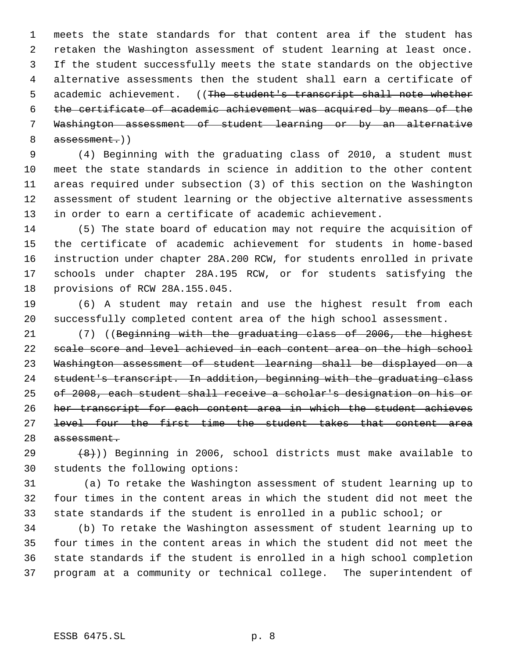meets the state standards for that content area if the student has retaken the Washington assessment of student learning at least once. If the student successfully meets the state standards on the objective alternative assessments then the student shall earn a certificate of 5 academic achievement. ((The student's transcript shall note whether the certificate of academic achievement was acquired by means of the Washington assessment of student learning or by an alternative 8 assessment.))

 (4) Beginning with the graduating class of 2010, a student must meet the state standards in science in addition to the other content areas required under subsection (3) of this section on the Washington assessment of student learning or the objective alternative assessments in order to earn a certificate of academic achievement.

 (5) The state board of education may not require the acquisition of the certificate of academic achievement for students in home-based instruction under chapter 28A.200 RCW, for students enrolled in private schools under chapter 28A.195 RCW, or for students satisfying the provisions of RCW 28A.155.045.

 (6) A student may retain and use the highest result from each successfully completed content area of the high school assessment.

 (7) ((Beginning with the graduating class of 2006, the highest scale score and level achieved in each content area on the high school Washington assessment of student learning shall be displayed on a student's transcript. In addition, beginning with the graduating class of 2008, each student shall receive a scholar's designation on his or her transcript for each content area in which the student achieves level four the first time the student takes that content area assessment.

 $(8)$  (8)) Beginning in 2006, school districts must make available to students the following options:

31 (a) To retake the Washington assessment of student learning up to four times in the content areas in which the student did not meet the state standards if the student is enrolled in a public school; or

 (b) To retake the Washington assessment of student learning up to four times in the content areas in which the student did not meet the state standards if the student is enrolled in a high school completion program at a community or technical college. The superintendent of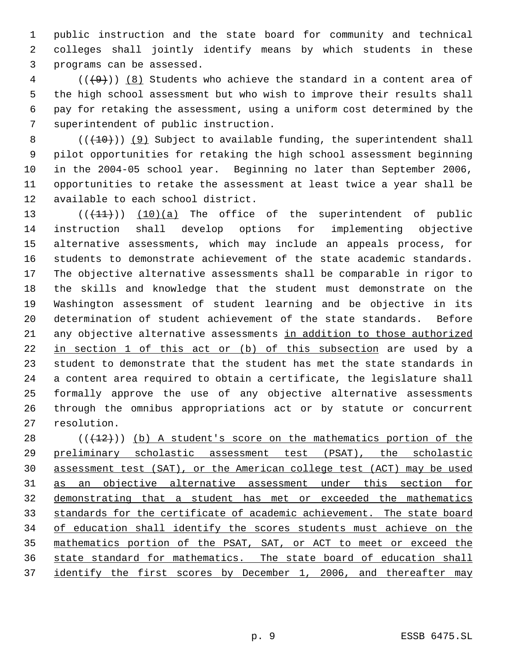public instruction and the state board for community and technical colleges shall jointly identify means by which students in these programs can be assessed.

 (( $\left(\frac{49}{3}\right)$ ) (8) Students who achieve the standard in a content area of the high school assessment but who wish to improve their results shall pay for retaking the assessment, using a uniform cost determined by the superintendent of public instruction.

 $((+10))$  (9) Subject to available funding, the superintendent shall pilot opportunities for retaking the high school assessment beginning in the 2004-05 school year. Beginning no later than September 2006, opportunities to retake the assessment at least twice a year shall be available to each school district.

13 (( $(11)$ )) (10)(a) The office of the superintendent of public instruction shall develop options for implementing objective alternative assessments, which may include an appeals process, for students to demonstrate achievement of the state academic standards. The objective alternative assessments shall be comparable in rigor to the skills and knowledge that the student must demonstrate on the Washington assessment of student learning and be objective in its determination of student achievement of the state standards. Before any objective alternative assessments in addition to those authorized in section 1 of this act or (b) of this subsection are used by a student to demonstrate that the student has met the state standards in a content area required to obtain a certificate, the legislature shall formally approve the use of any objective alternative assessments through the omnibus appropriations act or by statute or concurrent resolution.

 (( $(12)$ )) (b) A student's score on the mathematics portion of the preliminary scholastic assessment test (PSAT), the scholastic assessment test (SAT), or the American college test (ACT) may be used as an objective alternative assessment under this section for demonstrating that a student has met or exceeded the mathematics 33 standards for the certificate of academic achievement. The state board 34 of education shall identify the scores students must achieve on the mathematics portion of the PSAT, SAT, or ACT to meet or exceed the state standard for mathematics. The state board of education shall 37 identify the first scores by December 1, 2006, and thereafter may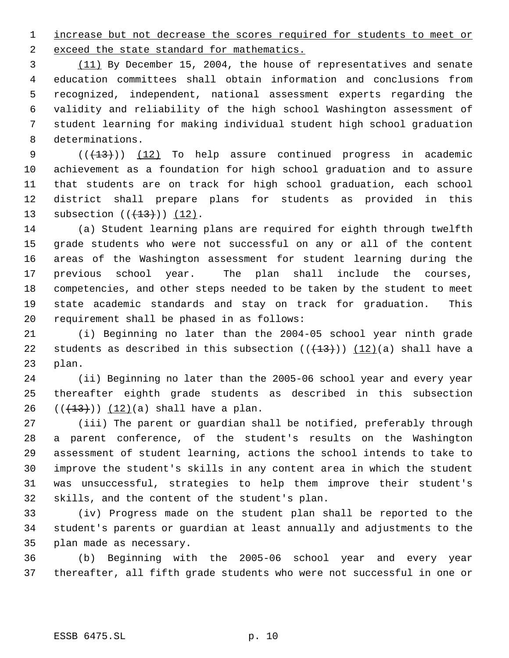1 increase but not decrease the scores required for students to meet or 2 exceed the state standard for mathematics.

 (11) By December 15, 2004, the house of representatives and senate education committees shall obtain information and conclusions from recognized, independent, national assessment experts regarding the validity and reliability of the high school Washington assessment of student learning for making individual student high school graduation determinations.

 $((+13))$   $(12)$  To help assure continued progress in academic achievement as a foundation for high school graduation and to assure that students are on track for high school graduation, each school district shall prepare plans for students as provided in this 13 subsection  $((+13))$   $(12)$ .

 (a) Student learning plans are required for eighth through twelfth grade students who were not successful on any or all of the content areas of the Washington assessment for student learning during the previous school year. The plan shall include the courses, competencies, and other steps needed to be taken by the student to meet state academic standards and stay on track for graduation. This requirement shall be phased in as follows:

 (i) Beginning no later than the 2004-05 school year ninth grade 22 students as described in this subsection  $((+13))$   $(12)(a)$  shall have a plan.

 (ii) Beginning no later than the 2005-06 school year and every year thereafter eighth grade students as described in this subsection 26  $((+13))$   $(12)(a)$  shall have a plan.

 (iii) The parent or guardian shall be notified, preferably through a parent conference, of the student's results on the Washington assessment of student learning, actions the school intends to take to improve the student's skills in any content area in which the student was unsuccessful, strategies to help them improve their student's skills, and the content of the student's plan.

 (iv) Progress made on the student plan shall be reported to the student's parents or guardian at least annually and adjustments to the plan made as necessary.

 (b) Beginning with the 2005-06 school year and every year thereafter, all fifth grade students who were not successful in one or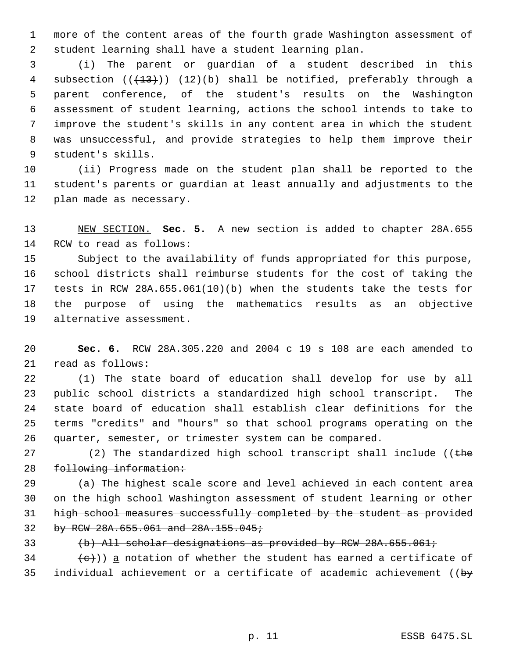more of the content areas of the fourth grade Washington assessment of student learning shall have a student learning plan.

 (i) The parent or guardian of a student described in this 4 subsection  $((+13))$   $(12)(b)$  shall be notified, preferably through a parent conference, of the student's results on the Washington assessment of student learning, actions the school intends to take to improve the student's skills in any content area in which the student was unsuccessful, and provide strategies to help them improve their student's skills.

 (ii) Progress made on the student plan shall be reported to the student's parents or guardian at least annually and adjustments to the plan made as necessary.

 NEW SECTION. **Sec. 5.** A new section is added to chapter 28A.655 RCW to read as follows:

 Subject to the availability of funds appropriated for this purpose, school districts shall reimburse students for the cost of taking the tests in RCW 28A.655.061(10)(b) when the students take the tests for the purpose of using the mathematics results as an objective alternative assessment.

 **Sec. 6.** RCW 28A.305.220 and 2004 c 19 s 108 are each amended to read as follows:

 (1) The state board of education shall develop for use by all public school districts a standardized high school transcript. The state board of education shall establish clear definitions for the terms "credits" and "hours" so that school programs operating on the quarter, semester, or trimester system can be compared.

27 (2) The standardized high school transcript shall include (( $t$ he following information:

 $(a)$  The highest scale score and level achieved in each content area on the high school Washington assessment of student learning or other high school measures successfully completed by the student as provided by RCW 28A.655.061 and 28A.155.045;

(b) All scholar designations as provided by RCW 28A.655.061;

 $\{\epsilon\}$ )) a notation of whether the student has earned a certificate of 35 individual achievement or a certificate of academic achievement ( $\big\{b\mathbf{y}$